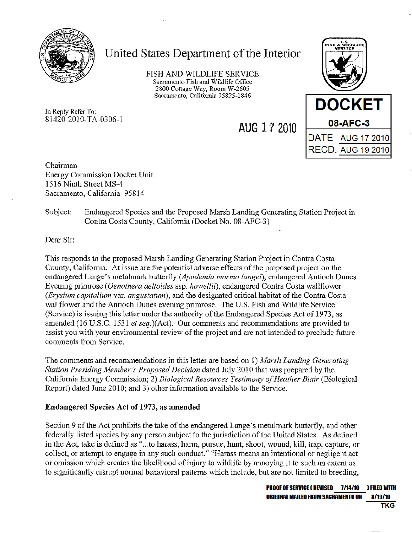

# United States Department of the Interior

FISH AND WILDLIFE SERVICE Sacramento Fish and Wildlife Office 2800 Cottage Way, Room W-2605 Sacramento, California 95825-1846

AUG 17 2010

In Reply Refer To: 81420-2010-TA-0306-1

**DOCKET** 08-AFC-3 DATE AUG 17 2010 **RECD. AUG 19 2010** 

Chairman **Energy Commission Docket Unit** 1516 Ninth Street MS-4 Sacramento, California 95814

#### Subject: Endangered Species and the Proposed Marsh Landing Generating Station Project in Contra Costa County, California (Docket No. 08-AFC-3)

Dear Sir.

This responds to the proposed Marsh Landing Generating Station Project in Contra Costa County, California. At issue are the potential adverse effects of the proposed project on the endangered Lange's metalmark butterfly (Apodemia mormo langei), endangered Antioch Dunes Evening primrose (*Oenothera deltoides* ssp. *howellif*), endangered Contra Costa wallflower (Erysium capitalium var. angustatum), and the designated critical habitat of the Contra Costa wallflower and the Antioch Dunes evening primrose. The U.S. Fish and Wildlife Service (Service) is issuing this letter under the authority of the Endangered Species Act of 1973, as amended (16 U.S.C. 1531 et seq.)(Act). Our comments and recommendations are provided to assist you with your environmental review of the project and are not intended to preclude future comments from Service.

The comments and recommendations in this letter are based on 1) Marsh Landing Generating Station Presiding Member's Proposed Decision dated July 2010 that was prepared by the California Energy Commission; 2) Biological Resources Testimony of Heather Blair (Biological Report) dated June 2010; and 3) other information available to the Service.

### Endangered Species Act of 1973, as amended

Section 9 of the Act prohibits the take of the endangered Lange's metalmark butterfly, and other federally listed species by any person subject to the jurisdiction of the United States. As defined in the Act, take is defined as "...to harass, harm, pursue, hunt, shoot, wound, kill, trap, capture, or collect, or attempt to engage in any such conduct." "Harass means an intentional or negligent act or omission which creates the likelihood of injury to wildlife by annoying it to such an extent as to significantly disrupt normal behavioral patterns which include, but are not limited to breeding,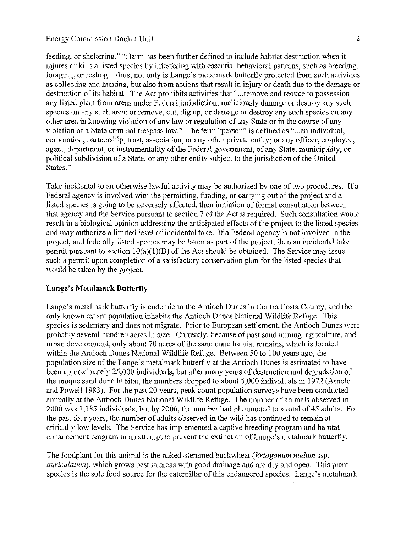feeding, or sheltering." "Harm has been further defined to include habitat destruction when it injures or kills a listed species by interfering with essential behavioral patterns, such as breeding, foraging, or resting. Thus, not only is Lange's metalmark butterfly protected from such activities as collecting and hunting, but also from actions that result in injury or death due to the damage or destruction of its habitat. The Act prohibits activities that "... remove and reduce to possession any listed plant from areas under Federal jurisdiction; maliciously damage or destroy any such species on any such area; or remove, cut, dig up, or damage or destroy any such species on any other area in knowing violation of any law or regulation of any State or in the course of any violation of a State criminal trespass law." The term "person" is defined as "...an individual, corporation, partnership, trust, association, or any other private entity; or any officer, employee, agent, department, or instrumentality of the Federal government, of any State, municipality, or political subdivision of a State, or any other entity subject to the jurisdiction of the United States."

Take incidental to an otherwise lawful activity may be authorized by one of two procedures. If a Federal agency is involved with the permitting, funding, or carrying out of the project and a listed species is going to be adversely affected, then initiation of formal consultation between that agency and the Service pursuant to section 7 of the Act is required. Such consultation would result in a biological opinion addressing the anticipated effects of the project to the listed species and may authorize a limited level of incidental take. If a Federal agency is not involved in the project, and federally listed species may be taken as part of the project, then an incidental take permit pursuant to section  $10(a)(1)(B)$  of the Act should be obtained. The Service may issue such a permit upon completion of a satisfactory conservation plan for the listed species that would be taken by the project.

### **Lange's Metalmark Butterfly**

Lange's metalmark butterfly is endemic to the Antioch Dunes in Contra Costa County, and the only known extant population inhabits the Antioch Dunes National Wildlife Refuge. This species is sedentary and does not migrate. Prior to European settlement, the Antioch Dunes were probably several hundred acres in size. Currently, because of past sand mining, agriculture, and urban development, only about 70 acres of the sand dune habitat remains, which is located within the Antioch Dunes National Wildlife Refuge. Between 50 to 100 years ago, the population size of the Lange's metalmark butterfly at the Antioch Dunes is estimated to have been approximately 25,000 individuals, but after many years of destruction and degradation of the unique sand dune habitat, the numbers dropped to about 5,000 individuals in 1972 (Arnold and Powell 1983). For the past 20 years, peak count population surveys have been conducted annually at the Antioch Dunes National Wildlife Refuge. The number of animals observed in 2000 was 1,185 individuals, but by 2006, the number had plummeted to a total of 45 adults. For the past four years, the number of adults observed in the wild has continued to remain at critically low levels. The Service has implemented a captive breeding program and habitat enhancement program in an attempt to prevent the extinction of Lange's metalmark butterfly.

The foodplant for this animal is the naked-stemmed buckwheat (*Eriogonum nudum* ssp. *auriculatum*), which grows best in areas with good drainage and are dry and open. This plant species is the sole food source for the caterpillar of this endangered species. Lange's metalmark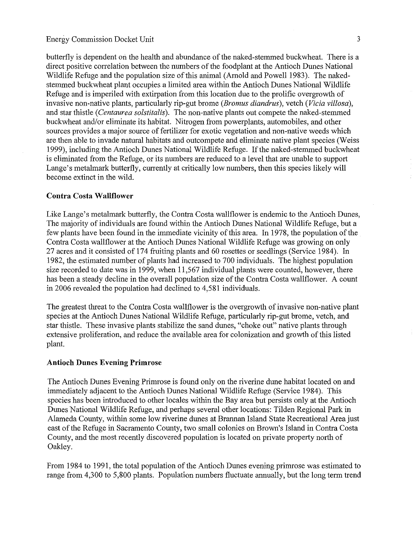butterfly is dependent on the health and abundance of the naked-stemmed buckwheat. There is a direct positive correlation between the numbers of the foodplant at the Antioch Dunes National Wildlife Refuge and the population size of this animal (Arnold and Powell 1983). The nakedstemmed buckwheat plant occupies a limited area within the Antioch Dunes National Wildlife Refuge and is imperiled with extirpation from this location due to the prolific overgrowth of invasive non-native plants, particularly rip-gut brome (*Bromus diandrus*), vetch (*Vicia villosa*), and star thistle (Centaurea solstitalis). The non-native plants out compete the naked-stemmed buckwheat and/or eliminate its habitat. Nitrogen from powerplants, automobiles, and other sources provides a major source of fertilizer for exotic vegetation and non-native weeds which are then able to invade natural habitats and outcompete and eliminate native plant species (Weiss 1999), including the Antioch Dunes National Wildlife Refuge. If the naked-stemmed buckwheat is eliminated from the Refuge, or its numbers are reduced to a level that are unable to support Lange's metalmark butterfly, currently at critically low numbers, then this species likely will become extinct in the wild.

#### **Contra Costa Wallflower**

Like Lange's metalmark butterfly, the Contra Costa wallflower is endemic to the Antioch Dunes, The majority of individuals are found within the Antioch Dunes National Wildlife Refuge, but a few plants have been found in the immediate vicinity of this area. In 1978, the population of the Contra Costa wallflower at the Antioch Dunes National Wildlife Refuge was growing on only 27 acres and it consisted of 174 fruiting plants and 60 rosettes or seedlings (Service 1984). In 1982, the estimated number of plants had increased to 700 individuals. The highest population size recorded to date was in 1999, when 11,567 individual plants were counted, however, there has been a steady decline in the overall population size of the Contra Costa wallflower. A count in 2006 revealed the population had declined to 4,581 individuals.

The greatest threat to the Contra Costa wallflower is the overgrowth of invasive non-native plant species at the Antioch Dunes National Wildlife Refuge, particularly rip-gut brome, vetch, and star thistle. These invasive plants stabilize the sand dunes, "choke out" native plants through extensive proliferation, and reduce the available area for colonization and growth of this listed plant.

### **Antioch Dunes Evening Primrose**

The Antioch Dunes Evening Primrose is found only on the riverine dune habitat located on and immediately adjacent to the Antioch Dunes National Wildlife Refuge (Service 1984). This species has been introduced to other locales within the Bay area but persists only at the Antioch Dunes National Wildlife Refuge, and perhaps several other locations: Tilden Regional Park in Alameda County, within some low riverine dunes at Brannan Island State Recreational Area just east of the Refuge in Sacramento County, two small colonies on Brown's Island in Contra Costa County, and the most recently discovered population is located on private property north of Oakley.

From 1984 to 1991, the total population of the Antioch Dunes evening primrose was estimated to range from 4,300 to 5,800 plants. Population numbers fluctuate annually, but the long term trend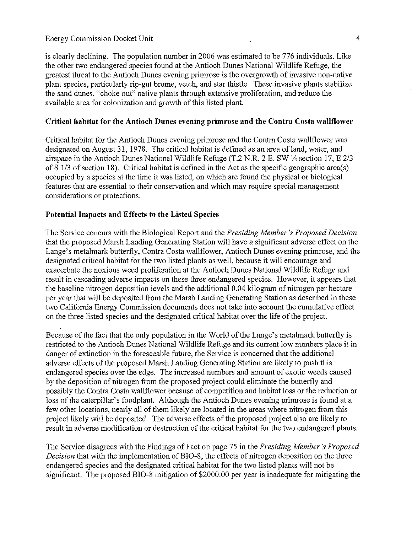is clearly declining. The population number in 2006 was estimated to be 776 individuals. Like the other two endangered species found at the Antioch Dunes National Wildlife Refuge, the greatest threat to the Antioch Dunes evening primrose is the overgrowth of invasive non-native plant species, particularly rip-gut brome, vetch, and star thistle. These invasive plants stabilize the sand dunes, "choke out" native plants through extensive proliferation, and reduce the available area for colonization and growth of this listed plant.

#### Critical habitat for the Antioch Dunes evening primrose and the Contra Costa wallflower

Critical habitat for the Antioch Dunes evening primrose and the Contra Costa wallflower was designated on August 31, 1978. The critical habitat is defined as an area of land, water, and airspace in the Antioch Dunes National Wildlife Refuge (T.2 N.R. 2 E. SW 1/4 section 17, E 2/3 of  $\hat{S}$  1/3 of section 18). Critical habitat is defined in the Act as the specific geographic area(s) occupied by a species at the time it was listed, on which are found the physical or biological features that are essential to their conservation and which may require special management considerations or protections.

#### Potential Impacts and Effects to the Listed Species

The Service concurs with the Biological Report and the Presiding Member's Proposed Decision that the proposed Marsh Landing Generating Station will have a significant adverse effect on the Lange's metalmark butterfly, Contra Costa wallflower, Antioch Dunes evening primrose, and the designated critical habitat for the two listed plants as well, because it will encourage and exacerbate the noxious weed proliferation at the Antioch Dunes National Wildlife Refuge and result in cascading adverse impacts on these three endangered species. However, it appears that the baseline nitrogen deposition levels and the additional 0.04 kilogram of nitrogen per hectare per year that will be deposited from the Marsh Landing Generating Station as described in these two California Energy Commission documents does not take into account the cumulative effect on the three listed species and the designated critical habitat over the life of the project.

Because of the fact that the only population in the World of the Lange's metalmark butterfly is restricted to the Antioch Dunes National Wildlife Refuge and its current low numbers place it in danger of extinction in the foreseeable future, the Service is concerned that the additional adverse effects of the proposed Marsh Landing Generating Station are likely to push this endangered species over the edge. The increased numbers and amount of exotic weeds caused by the deposition of nitrogen from the proposed project could eliminate the butterfly and possibly the Contra Costa wallflower because of competition and habitat loss or the reduction or loss of the caterpillar's foodplant. Although the Antioch Dunes evening primrose is found at a few other locations, nearly all of them likely are located in the areas where nitrogen from this project likely will be deposited. The adverse effects of the proposed project also are likely to result in adverse modification or destruction of the critical habitat for the two endangered plants.

The Service disagrees with the Findings of Fact on page 75 in the *Presiding Member's Proposed* Decision that with the implementation of BIO-8, the effects of nitrogen deposition on the three endangered species and the designated critical habitat for the two listed plants will not be significant. The proposed BIO-8 mitigation of \$2000.00 per year is inadequate for mitigating the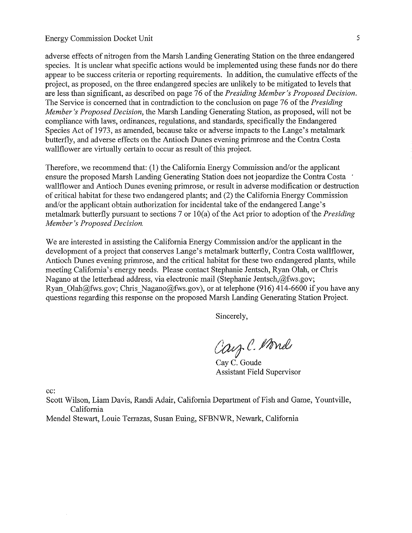adverse effects of nitrogen from the Marsh Landing Generating Station on the three endangered species. It is unclear what specific actions would be implemented using these funds nor do there appear to be success criteria or reporting requirements. In addition, the cumulative effects of the project, as proposed, on the three endangered species are unlikely to be mitigated to levels that are less than significant, as described on page 76 of the Presiding Member's Proposed Decision. The Service is concerned that in contradiction to the conclusion on page 76 of the *Presiding* Member's Proposed Decision, the Marsh Landing Generating Station, as proposed, will not be compliance with laws, ordinances, regulations, and standards, specifically the Endangered Species Act of 1973, as amended, because take or adverse impacts to the Lange's metalmark butterfly, and adverse effects on the Antioch Dunes evening primrose and the Contra Costa wallflower are virtually certain to occur as result of this project.

Therefore, we recommend that: (1) the California Energy Commission and/or the applicant ensure the proposed Marsh Landing Generating Station does not jeopardize the Contra Costa wallflower and Antioch Dunes evening primrose, or result in adverse modification or destruction of critical habitat for these two endangered plants; and (2) the California Energy Commission and/or the applicant obtain authorization for incidental take of the endangered Lange's metalmark butterfly pursuant to sections 7 or  $10(a)$  of the Act prior to adoption of the *Presiding* Member's Proposed Decision.

We are interested in assisting the California Energy Commission and/or the applicant in the development of a project that conserves Lange's metalmark butterfly, Contra Costa wallflower, Antioch Dunes evening primrose, and the critical habitat for these two endangered plants, while meeting California's energy needs. Please contact Stephanie Jentsch, Ryan Olah, or Chris Nagano at the letterhead address, via electronic mail (Stephanie Jentsch, @fws.gov; Ryan Olah@fws.gov; Chris Nagano@fws.gov), or at telephone (916) 414-6600 if you have any questions regarding this response on the proposed Marsh Landing Generating Station Project.

Sincerely,

Carz C. Monde

Cay C. Goude **Assistant Field Supervisor** 

cc:

Scott Wilson, Liam Davis, Randi Adair, California Department of Fish and Game, Yountville, California

Mendel Stewart, Louie Terrazas, Susan Euing, SFBNWR, Newark, California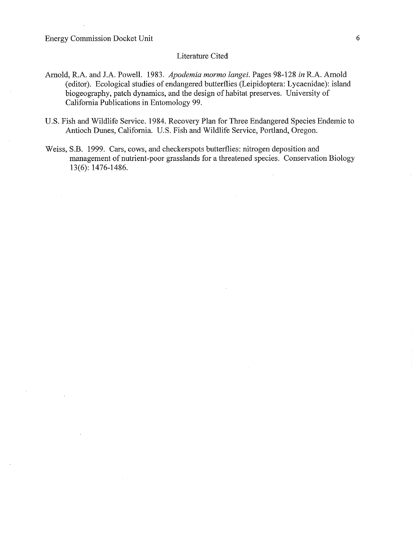$\bar{z}$ 

#### Literature Cited

- Arnold, R.A. and J.A. Powell. 1983. Apodemia mormo langei. Pages 98-128 in R.A. Arnold (editor). Ecological studies of endangered butterflies (Leipidoptera: Lycaenidae): island biogeography, patch dynamics, and the design of habitat preserves. University of California Publications in Entomology 99.
- U.S. Fish and Wildlife Service. 1984. Recovery Plan for Three Endangered Species Endemic to Antioch Dunes, California. U.S. Fish and Wildlife Service, Portland, Oregon.
- Weiss, S.B. 1999. Cars, cows, and checkerspots butterflies: nitrogen deposition and management of nutrient-poor grasslands for a threatened species. Conservation Biology 13(6): 1476-1486.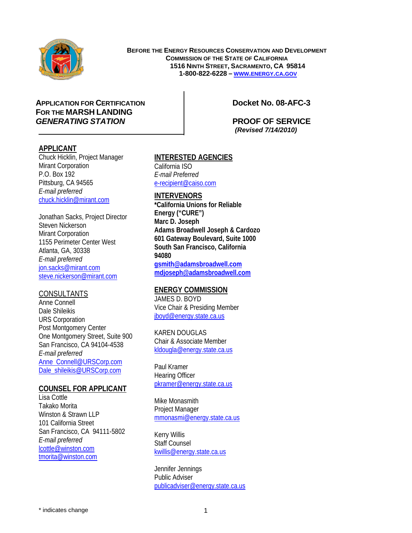

**BEFORE THE ENERGY RESOURCES CONSERVATION AND DEVELOPMENT COMMISSION OF THE STATE OF CALIFORNIA 1516 NINTH STREET, SACRAMENTO, CA 95814 1-800-822-6228 – WWW.ENERGY.CA.GOV**H

### B**APPLICATION FOR CERTIFICATION Docket No. 08-AFC-3 FOR THE MARSH LANDING** *GENERATING STATION* **PROOF OF SERVICE**

 *(Revised 7/14/2010)* 

### **APPLICANT**

Chuck Hicklin, Project Manager Mirant Corporation P.O. Box 192 Pittsburg, CA 94565 *E-mail preferred*  chuck.hicklin@mirant.com

Jonathan Sacks, Project Director Steven Nickerson Mirant Corporation 1155 Perimeter Center West Atlanta, GA, 30338 *E-mail preferred*  jon.sacks@mirant.com steve.nickerson@mirant.com

### **CONSULTANTS**

Anne Connell Dale Shileikis URS Corporation Post Montgomery Center One Montgomery Street, Suite 900 San Francisco, CA 94104-4538 *E-mail preferred*  Anne Connell@URSCorp.com Dale\_shileikis@URSCorp.com

### **COUNSEL FOR APPLICANT**

Lisa Cottle Takako Morita Winston & Strawn LLP 101 California Street San Francisco, CA 94111-5802 *E-mail preferred* lcottle@winston.com tmorita@winston.com

### **INTERESTED AGENCIES**

California ISO *E-mail Preferred* e-recipient@caiso.com

### **INTERVENORS**

**\*California Unions for Reliable Energy ("CURE") Marc D. Joseph Adams Broadwell Joseph & Cardozo 601 Gateway Boulevard, Suite 1000 South San Francisco, California 94080 gsmith@adamsbroadwell.com mdjoseph@adamsbroadwell.com**

### **ENERGY COMMISSION**

JAMES D. BOYD Vice Chair & Presiding Member jboyd@energy.state.ca.us

## KAREN DOUGLAS

Chair & Associate Member kldougla@energy.state.ca.us

Paul Kramer Hearing Officer pkramer@energy.state.ca.us

Mike Monasmith Project Manager mmonasmi@energy.state.ca.us

Kerry Willis Staff Counsel kwillis@energy.state.ca.us

Jennifer Jennings Public Adviser publicadviser@energy.state.ca.us